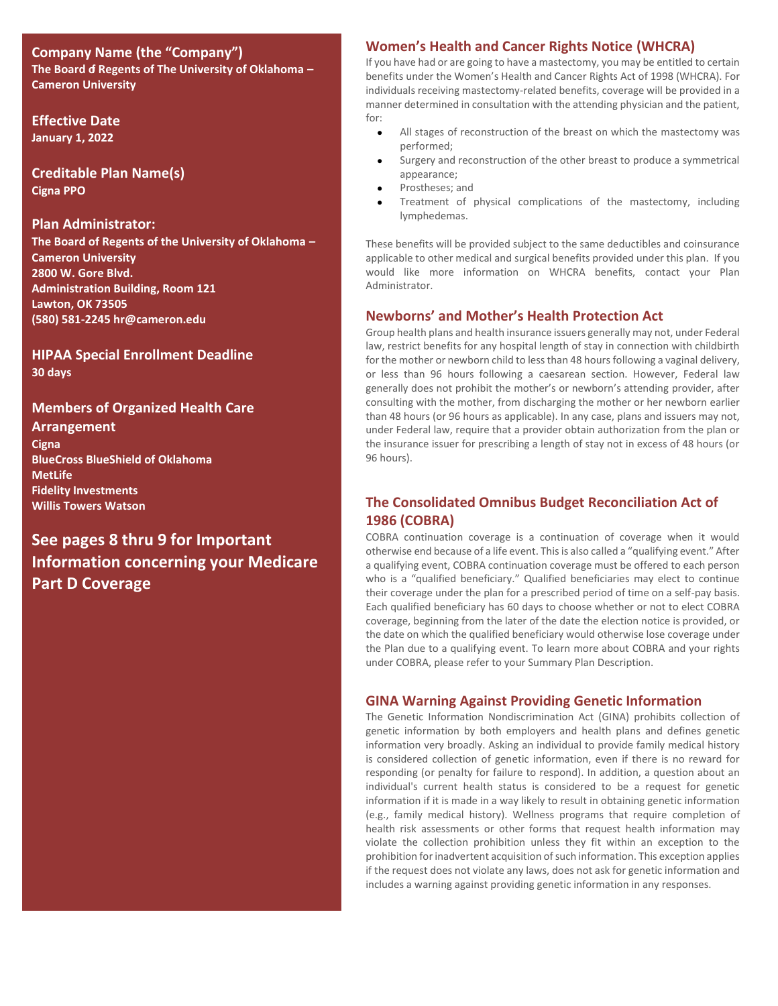# **Company Name (the "Company") The Board of Regents of The University of Oklahoma – Cameron University**

**Effective Date January 1, 2022**

**Creditable Plan Name(s) Cigna PPO**

### **Plan Administrator:**

**The Board of Regents of the University of Oklahoma – Cameron University 2800 W. Gore Blvd. Administration Building, Room 121 Lawton, OK 73505 (580) 581-2245 hr@cameron.edu**

**HIPAA Special Enrollment Deadline 30 days**

# **Members of Organized Health Care**

**Arrangement Cigna BlueCross BlueShield of Oklahoma MetLife Fidelity Investments Willis Towers Watson** 

# **See pages 8 thru 9 for Important Information concerning your Medicare Part D Coverage**

# **Women's Health and Cancer Rights Notice (WHCRA)**

If you have had or are going to have a mastectomy, you may be entitled to certain benefits under the Women's Health and Cancer Rights Act of 1998 (WHCRA). For individuals receiving mastectomy-related benefits, coverage will be provided in a manner determined in consultation with the attending physician and the patient, for:

- All stages of reconstruction of the breast on which the mastectomy was performed;
- Surgery and reconstruction of the other breast to produce a symmetrical appearance;
- Prostheses; and
- Treatment of physical complications of the mastectomy, including lymphedemas.

These benefits will be provided subject to the same deductibles and coinsurance applicable to other medical and surgical benefits provided under this plan. If you would like more information on WHCRA benefits, contact your Plan Administrator.

# **Newborns' and Mother's Health Protection Act**

Group health plans and health insurance issuers generally may not, under Federal law, restrict benefits for any hospital length of stay in connection with childbirth for the mother or newborn child to less than 48 hours following a vaginal delivery, or less than 96 hours following a caesarean section. However, Federal law generally does not prohibit the mother's or newborn's attending provider, after consulting with the mother, from discharging the mother or her newborn earlier than 48 hours (or 96 hours as applicable). In any case, plans and issuers may not, under Federal law, require that a provider obtain authorization from the plan or the insurance issuer for prescribing a length of stay not in excess of 48 hours (or 96 hours).

# **The Consolidated Omnibus Budget Reconciliation Act of 1986 (COBRA)**

COBRA continuation coverage is a continuation of coverage when it would otherwise end because of a life event. This is also called a "qualifying event." After a qualifying event, COBRA continuation coverage must be offered to each person who is a "qualified beneficiary." Qualified beneficiaries may elect to continue their coverage under the plan for a prescribed period of time on a self-pay basis. Each qualified beneficiary has 60 days to choose whether or not to elect COBRA coverage, beginning from the later of the date the election notice is provided, or the date on which the qualified beneficiary would otherwise lose coverage under the Plan due to a qualifying event. To learn more about COBRA and your rights under COBRA, please refer to your Summary Plan Description.

# **GINA Warning Against Providing Genetic Information**

The Genetic Information Nondiscrimination Act (GINA) prohibits collection of genetic information by both employers and health plans and defines genetic information very broadly. Asking an individual to provide family medical history is considered collection of genetic information, even if there is no reward for responding (or penalty for failure to respond). In addition, a question about an individual's current health status is considered to be a request for genetic information if it is made in a way likely to result in obtaining genetic information (e.g., family medical history). Wellness programs that require completion of health risk assessments or other forms that request health information may violate the collection prohibition unless they fit within an exception to the prohibition for inadvertent acquisition of such information. This exception applies if the request does not violate any laws, does not ask for genetic information and includes a warning against providing genetic information in any responses.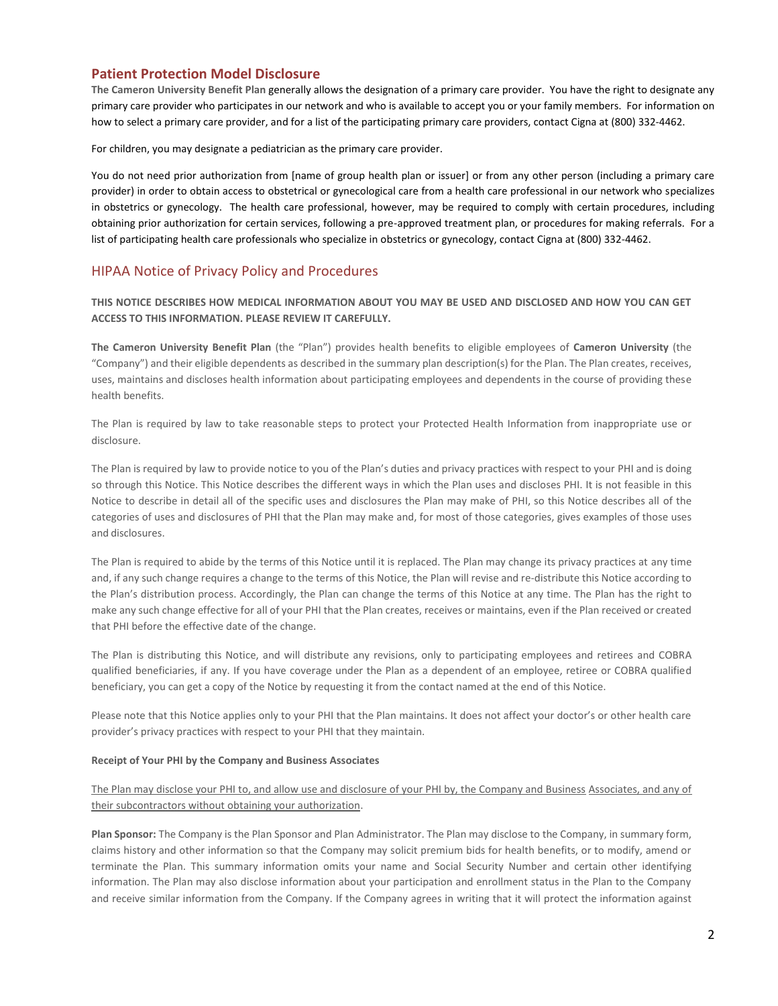### **Patient Protection Model Disclosure**

**The Cameron University Benefit Plan** generally allows the designation of a primary care provider. You have the right to designate any primary care provider who participates in our network and who is available to accept you or your family members. For information on how to select a primary care provider, and for a list of the participating primary care providers, contact Cigna at (800) 332-4462.

For children, you may designate a pediatrician as the primary care provider.

You do not need prior authorization from [name of group health plan or issuer] or from any other person (including a primary care provider) in order to obtain access to obstetrical or gynecological care from a health care professional in our network who specializes in obstetrics or gynecology. The health care professional, however, may be required to comply with certain procedures, including obtaining prior authorization for certain services, following a pre-approved treatment plan, or procedures for making referrals. For a list of participating health care professionals who specialize in obstetrics or gynecology, contact Cigna at (800) 332-4462.

### HIPAA Notice of Privacy Policy and Procedures

**THIS NOTICE DESCRIBES HOW MEDICAL INFORMATION ABOUT YOU MAY BE USED AND DISCLOSED AND HOW YOU CAN GET ACCESS TO THIS INFORMATION. PLEASE REVIEW IT CAREFULLY.**

**The Cameron University Benefit Plan** (the "Plan") provides health benefits to eligible employees of **Cameron University** (the "Company") and their eligible dependents as described in the summary plan description(s) for the Plan. The Plan creates, receives, uses, maintains and discloses health information about participating employees and dependents in the course of providing these health benefits.

The Plan is required by law to take reasonable steps to protect your Protected Health Information from inappropriate use or disclosure.

The Plan is required by law to provide notice to you of the Plan's duties and privacy practices with respect to your PHI and is doing so through this Notice. This Notice describes the different ways in which the Plan uses and discloses PHI. It is not feasible in this Notice to describe in detail all of the specific uses and disclosures the Plan may make of PHI, so this Notice describes all of the categories of uses and disclosures of PHI that the Plan may make and, for most of those categories, gives examples of those uses and disclosures.

The Plan is required to abide by the terms of this Notice until it is replaced. The Plan may change its privacy practices at any time and, if any such change requires a change to the terms of this Notice, the Plan will revise and re-distribute this Notice according to the Plan's distribution process. Accordingly, the Plan can change the terms of this Notice at any time. The Plan has the right to make any such change effective for all of your PHI that the Plan creates, receives or maintains, even if the Plan received or created that PHI before the effective date of the change.

The Plan is distributing this Notice, and will distribute any revisions, only to participating employees and retirees and COBRA qualified beneficiaries, if any. If you have coverage under the Plan as a dependent of an employee, retiree or COBRA qualified beneficiary, you can get a copy of the Notice by requesting it from the contact named at the end of this Notice.

Please note that this Notice applies only to your PHI that the Plan maintains. It does not affect your doctor's or other health care provider's privacy practices with respect to your PHI that they maintain.

#### **Receipt of Your PHI by the Company and Business Associates**

### The Plan may disclose your PHI to, and allow use and disclosure of your PHI by, the Company and Business Associates, and any of their subcontractors without obtaining your authorization.

**Plan Sponsor:** The Company is the Plan Sponsor and Plan Administrator. The Plan may disclose to the Company, in summary form, claims history and other information so that the Company may solicit premium bids for health benefits, or to modify, amend or terminate the Plan. This summary information omits your name and Social Security Number and certain other identifying information. The Plan may also disclose information about your participation and enrollment status in the Plan to the Company and receive similar information from the Company. If the Company agrees in writing that it will protect the information against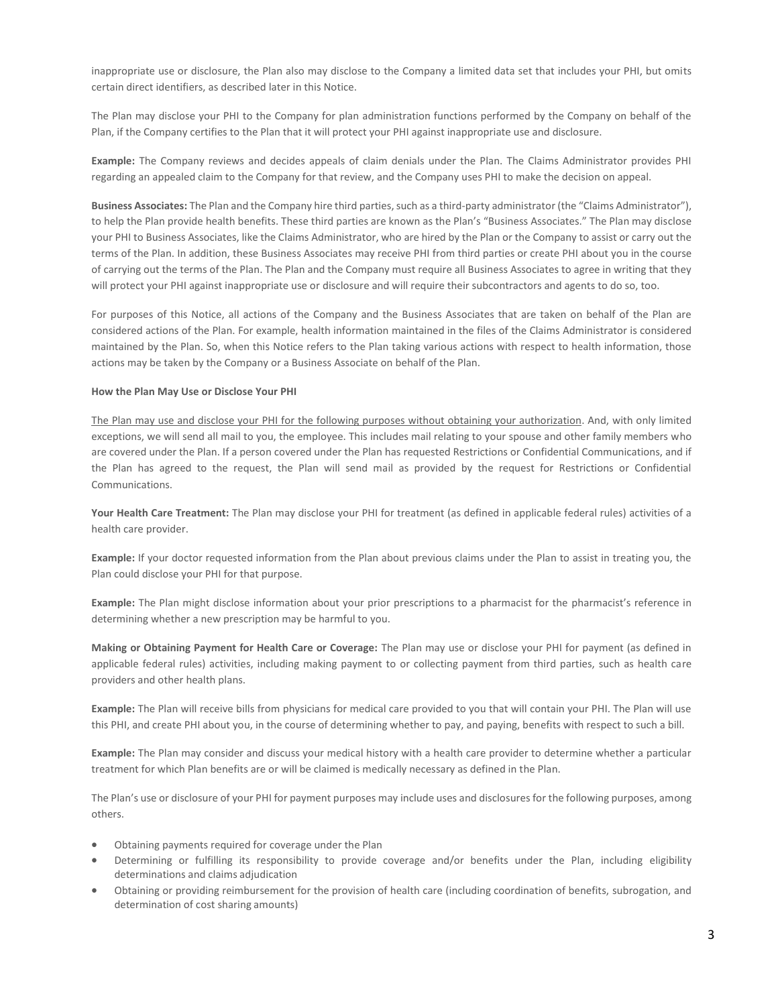inappropriate use or disclosure, the Plan also may disclose to the Company a limited data set that includes your PHI, but omits certain direct identifiers, as described later in this Notice.

The Plan may disclose your PHI to the Company for plan administration functions performed by the Company on behalf of the Plan, if the Company certifies to the Plan that it will protect your PHI against inappropriate use and disclosure.

**Example:** The Company reviews and decides appeals of claim denials under the Plan. The Claims Administrator provides PHI regarding an appealed claim to the Company for that review, and the Company uses PHI to make the decision on appeal.

**Business Associates:** The Plan and the Company hire third parties, such as a third-party administrator (the "Claims Administrator"), to help the Plan provide health benefits. These third parties are known as the Plan's "Business Associates." The Plan may disclose your PHI to Business Associates, like the Claims Administrator, who are hired by the Plan or the Company to assist or carry out the terms of the Plan. In addition, these Business Associates may receive PHI from third parties or create PHI about you in the course of carrying out the terms of the Plan. The Plan and the Company must require all Business Associates to agree in writing that they will protect your PHI against inappropriate use or disclosure and will require their subcontractors and agents to do so, too.

For purposes of this Notice, all actions of the Company and the Business Associates that are taken on behalf of the Plan are considered actions of the Plan. For example, health information maintained in the files of the Claims Administrator is considered maintained by the Plan. So, when this Notice refers to the Plan taking various actions with respect to health information, those actions may be taken by the Company or a Business Associate on behalf of the Plan.

#### **How the Plan May Use or Disclose Your PHI**

The Plan may use and disclose your PHI for the following purposes without obtaining your authorization. And, with only limited exceptions, we will send all mail to you, the employee. This includes mail relating to your spouse and other family members who are covered under the Plan. If a person covered under the Plan has requested Restrictions or Confidential Communications, and if the Plan has agreed to the request, the Plan will send mail as provided by the request for Restrictions or Confidential Communications.

**Your Health Care Treatment:** The Plan may disclose your PHI for treatment (as defined in applicable federal rules) activities of a health care provider.

**Example:** If your doctor requested information from the Plan about previous claims under the Plan to assist in treating you, the Plan could disclose your PHI for that purpose.

**Example:** The Plan might disclose information about your prior prescriptions to a pharmacist for the pharmacist's reference in determining whether a new prescription may be harmful to you.

**Making or Obtaining Payment for Health Care or Coverage:** The Plan may use or disclose your PHI for payment (as defined in applicable federal rules) activities, including making payment to or collecting payment from third parties, such as health care providers and other health plans.

**Example:** The Plan will receive bills from physicians for medical care provided to you that will contain your PHI. The Plan will use this PHI, and create PHI about you, in the course of determining whether to pay, and paying, benefits with respect to such a bill.

**Example:** The Plan may consider and discuss your medical history with a health care provider to determine whether a particular treatment for which Plan benefits are or will be claimed is medically necessary as defined in the Plan.

The Plan's use or disclosure of your PHI for payment purposes may include uses and disclosures for the following purposes, among others.

- Obtaining payments required for coverage under the Plan
- Determining or fulfilling its responsibility to provide coverage and/or benefits under the Plan, including eligibility determinations and claims adjudication
- Obtaining or providing reimbursement for the provision of health care (including coordination of benefits, subrogation, and determination of cost sharing amounts)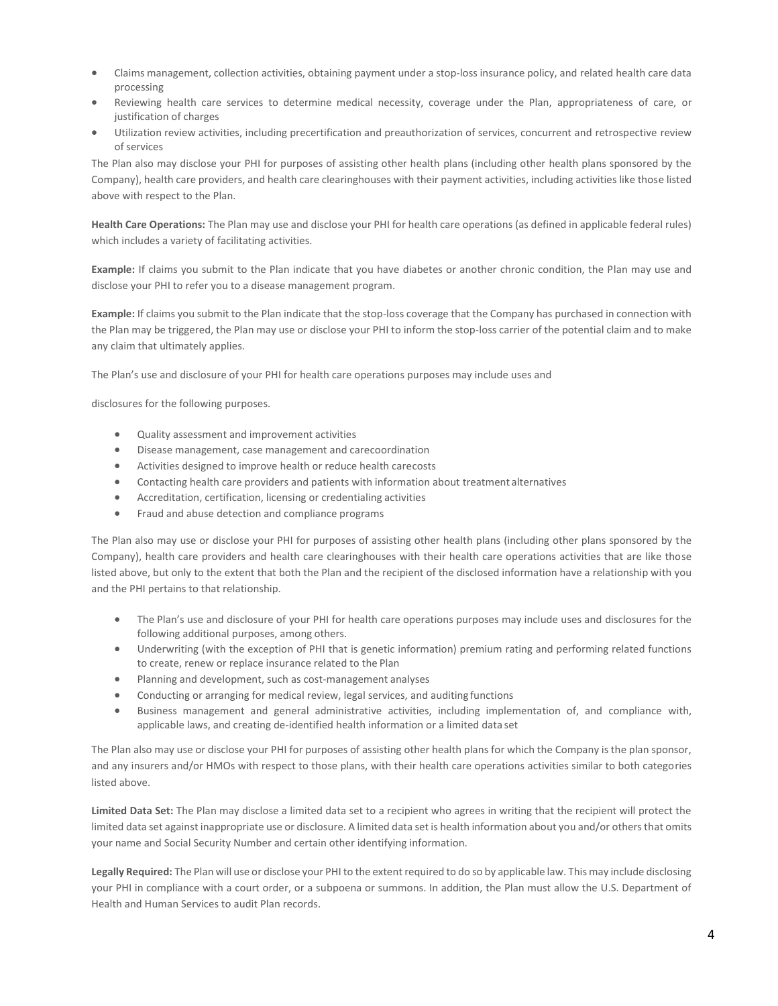- Claims management, collection activities, obtaining payment under a stop-loss insurance policy, and related health care data processing
- Reviewing health care services to determine medical necessity, coverage under the Plan, appropriateness of care, or justification of charges
- Utilization review activities, including precertification and preauthorization of services, concurrent and retrospective review of services

The Plan also may disclose your PHI for purposes of assisting other health plans (including other health plans sponsored by the Company), health care providers, and health care clearinghouses with their payment activities, including activities like those listed above with respect to the Plan.

**Health Care Operations:** The Plan may use and disclose your PHI for health care operations (as defined in applicable federal rules) which includes a variety of facilitating activities.

**Example:** If claims you submit to the Plan indicate that you have diabetes or another chronic condition, the Plan may use and disclose your PHI to refer you to a disease management program.

**Example:** If claims you submit to the Plan indicate that the stop-loss coverage that the Company has purchased in connection with the Plan may be triggered, the Plan may use or disclose your PHI to inform the stop-loss carrier of the potential claim and to make any claim that ultimately applies.

The Plan's use and disclosure of your PHI for health care operations purposes may include uses and

disclosures for the following purposes.

- Quality assessment and improvement activities
- Disease management, case management and carecoordination
- Activities designed to improve health or reduce health carecosts
- Contacting health care providers and patients with information about treatment alternatives
- Accreditation, certification, licensing or credentialing activities
- Fraud and abuse detection and compliance programs

The Plan also may use or disclose your PHI for purposes of assisting other health plans (including other plans sponsored by the Company), health care providers and health care clearinghouses with their health care operations activities that are like those listed above, but only to the extent that both the Plan and the recipient of the disclosed information have a relationship with you and the PHI pertains to that relationship.

- The Plan's use and disclosure of your PHI for health care operations purposes may include uses and disclosures for the following additional purposes, among others.
- Underwriting (with the exception of PHI that is genetic information) premium rating and performing related functions to create, renew or replace insurance related to the Plan
- Planning and development, such as cost-management analyses
- Conducting or arranging for medical review, legal services, and auditing functions
- Business management and general administrative activities, including implementation of, and compliance with, applicable laws, and creating de-identified health information or a limited data set

The Plan also may use or disclose your PHI for purposes of assisting other health plans for which the Company is the plan sponsor, and any insurers and/or HMOs with respect to those plans, with their health care operations activities similar to both categories listed above.

**Limited Data Set:** The Plan may disclose a limited data set to a recipient who agrees in writing that the recipient will protect the limited data set against inappropriate use or disclosure. A limited data set is health information about you and/or others that omits your name and Social Security Number and certain other identifying information.

**Legally Required:** The Plan will use or disclose your PHI to the extent required to do so by applicable law. This may include disclosing your PHI in compliance with a court order, or a subpoena or summons. In addition, the Plan must allow the U.S. Department of Health and Human Services to audit Plan records.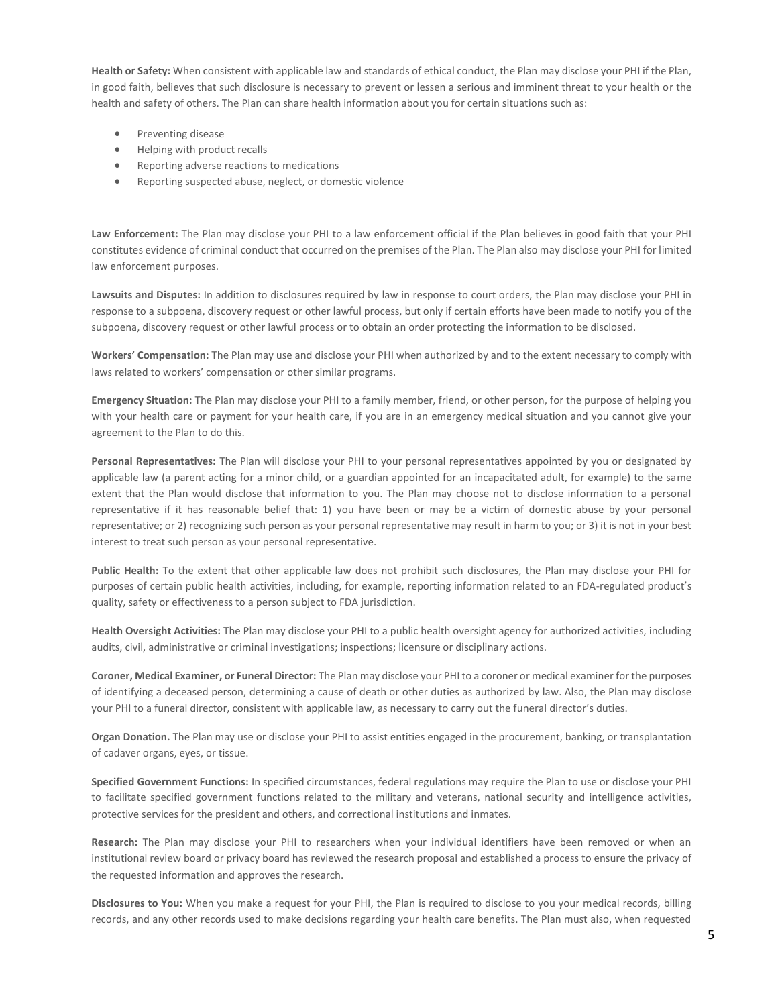**Health or Safety:** When consistent with applicable law and standards of ethical conduct, the Plan may disclose your PHI if the Plan, in good faith, believes that such disclosure is necessary to prevent or lessen a serious and imminent threat to your health or the health and safety of others. The Plan can share health information about you for certain situations such as:

- Preventing disease
- Helping with product recalls
- Reporting adverse reactions to medications
- Reporting suspected abuse, neglect, or domestic violence

**Law Enforcement:** The Plan may disclose your PHI to a law enforcement official if the Plan believes in good faith that your PHI constitutes evidence of criminal conduct that occurred on the premises of the Plan. The Plan also may disclose your PHI for limited law enforcement purposes.

**Lawsuits and Disputes:** In addition to disclosures required by law in response to court orders, the Plan may disclose your PHI in response to a subpoena, discovery request or other lawful process, but only if certain efforts have been made to notify you of the subpoena, discovery request or other lawful process or to obtain an order protecting the information to be disclosed.

**Workers' Compensation:** The Plan may use and disclose your PHI when authorized by and to the extent necessary to comply with laws related to workers' compensation or other similar programs.

**Emergency Situation:** The Plan may disclose your PHI to a family member, friend, or other person, for the purpose of helping you with your health care or payment for your health care, if you are in an emergency medical situation and you cannot give your agreement to the Plan to do this.

**Personal Representatives:** The Plan will disclose your PHI to your personal representatives appointed by you or designated by applicable law (a parent acting for a minor child, or a guardian appointed for an incapacitated adult, for example) to the same extent that the Plan would disclose that information to you. The Plan may choose not to disclose information to a personal representative if it has reasonable belief that: 1) you have been or may be a victim of domestic abuse by your personal representative; or 2) recognizing such person as your personal representative may result in harm to you; or 3) it is not in your best interest to treat such person as your personal representative.

**Public Health:** To the extent that other applicable law does not prohibit such disclosures, the Plan may disclose your PHI for purposes of certain public health activities, including, for example, reporting information related to an FDA-regulated product's quality, safety or effectiveness to a person subject to FDA jurisdiction.

**Health Oversight Activities:** The Plan may disclose your PHI to a public health oversight agency for authorized activities, including audits, civil, administrative or criminal investigations; inspections; licensure or disciplinary actions.

**Coroner, Medical Examiner, or Funeral Director:** The Plan may disclose your PHI to a coroner or medical examiner for the purposes of identifying a deceased person, determining a cause of death or other duties as authorized by law. Also, the Plan may disclose your PHI to a funeral director, consistent with applicable law, as necessary to carry out the funeral director's duties.

**Organ Donation.** The Plan may use or disclose your PHI to assist entities engaged in the procurement, banking, or transplantation of cadaver organs, eyes, or tissue.

**Specified Government Functions:** In specified circumstances, federal regulations may require the Plan to use or disclose your PHI to facilitate specified government functions related to the military and veterans, national security and intelligence activities, protective services for the president and others, and correctional institutions and inmates.

**Research:** The Plan may disclose your PHI to researchers when your individual identifiers have been removed or when an institutional review board or privacy board has reviewed the research proposal and established a process to ensure the privacy of the requested information and approves the research.

**Disclosures to You:** When you make a request for your PHI, the Plan is required to disclose to you your medical records, billing records, and any other records used to make decisions regarding your health care benefits. The Plan must also, when requested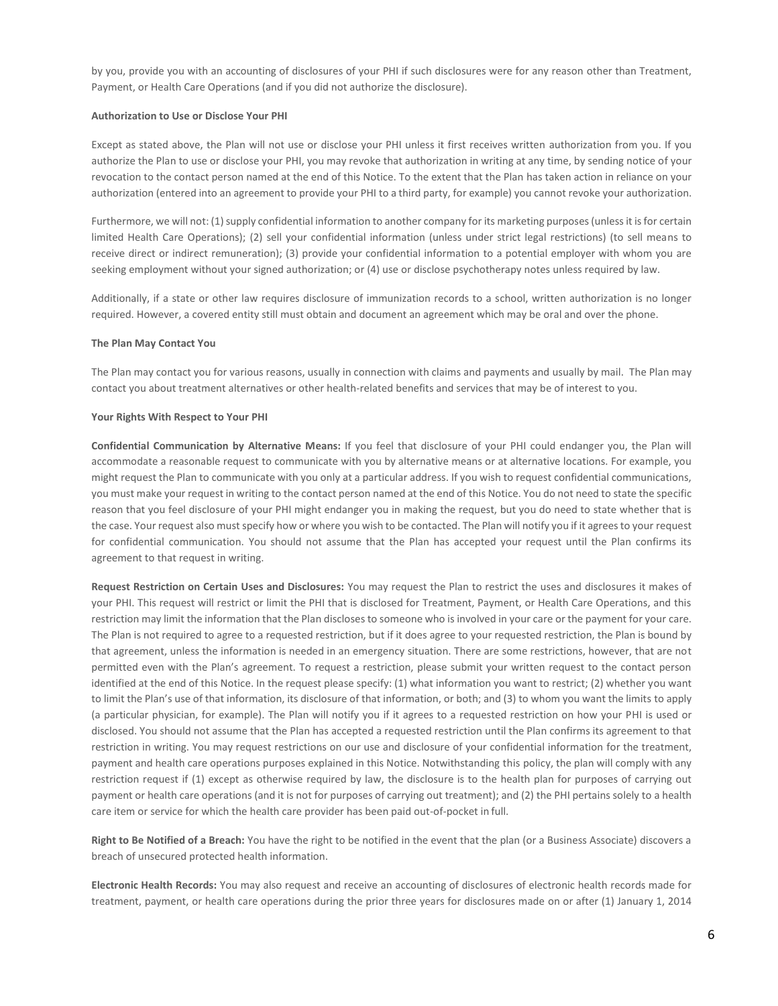by you, provide you with an accounting of disclosures of your PHI if such disclosures were for any reason other than Treatment, Payment, or Health Care Operations (and if you did not authorize the disclosure).

#### **Authorization to Use or Disclose Your PHI**

Except as stated above, the Plan will not use or disclose your PHI unless it first receives written authorization from you. If you authorize the Plan to use or disclose your PHI, you may revoke that authorization in writing at any time, by sending notice of your revocation to the contact person named at the end of this Notice. To the extent that the Plan has taken action in reliance on your authorization (entered into an agreement to provide your PHI to a third party, for example) you cannot revoke your authorization.

Furthermore, we will not: (1) supply confidential information to another company for its marketing purposes (unless it is for certain limited Health Care Operations); (2) sell your confidential information (unless under strict legal restrictions) (to sell means to receive direct or indirect remuneration); (3) provide your confidential information to a potential employer with whom you are seeking employment without your signed authorization; or (4) use or disclose psychotherapy notes unless required by law.

Additionally, if a state or other law requires disclosure of immunization records to a school, written authorization is no longer required. However, a covered entity still must obtain and document an agreement which may be oral and over the phone.

#### **The Plan May Contact You**

The Plan may contact you for various reasons, usually in connection with claims and payments and usually by mail. The Plan may contact you about treatment alternatives or other health-related benefits and services that may be of interest to you.

#### **Your Rights With Respect to Your PHI**

**Confidential Communication by Alternative Means:** If you feel that disclosure of your PHI could endanger you, the Plan will accommodate a reasonable request to communicate with you by alternative means or at alternative locations. For example, you might request the Plan to communicate with you only at a particular address. If you wish to request confidential communications, you must make your request in writing to the contact person named at the end of this Notice. You do not need to state the specific reason that you feel disclosure of your PHI might endanger you in making the request, but you do need to state whether that is the case. Your request also must specify how or where you wish to be contacted. The Plan will notify you if it agrees to your request for confidential communication. You should not assume that the Plan has accepted your request until the Plan confirms its agreement to that request in writing.

**Request Restriction on Certain Uses and Disclosures:** You may request the Plan to restrict the uses and disclosures it makes of your PHI. This request will restrict or limit the PHI that is disclosed for Treatment, Payment, or Health Care Operations, and this restriction may limit the information that the Plan discloses to someone who is involved in your care or the payment for your care. The Plan is not required to agree to a requested restriction, but if it does agree to your requested restriction, the Plan is bound by that agreement, unless the information is needed in an emergency situation. There are some restrictions, however, that are not permitted even with the Plan's agreement. To request a restriction, please submit your written request to the contact person identified at the end of this Notice. In the request please specify: (1) what information you want to restrict; (2) whether you want to limit the Plan's use of that information, its disclosure of that information, or both; and (3) to whom you want the limits to apply (a particular physician, for example). The Plan will notify you if it agrees to a requested restriction on how your PHI is used or disclosed. You should not assume that the Plan has accepted a requested restriction until the Plan confirms its agreement to that restriction in writing. You may request restrictions on our use and disclosure of your confidential information for the treatment, payment and health care operations purposes explained in this Notice. Notwithstanding this policy, the plan will comply with any restriction request if (1) except as otherwise required by law, the disclosure is to the health plan for purposes of carrying out payment or health care operations (and it is not for purposes of carrying out treatment); and (2) the PHI pertains solely to a health care item or service for which the health care provider has been paid out-of-pocket in full.

**Right to Be Notified of a Breach:** You have the right to be notified in the event that the plan (or a Business Associate) discovers a breach of unsecured protected health information.

**Electronic Health Records:** You may also request and receive an accounting of disclosures of electronic health records made for treatment, payment, or health care operations during the prior three years for disclosures made on or after (1) January 1, 2014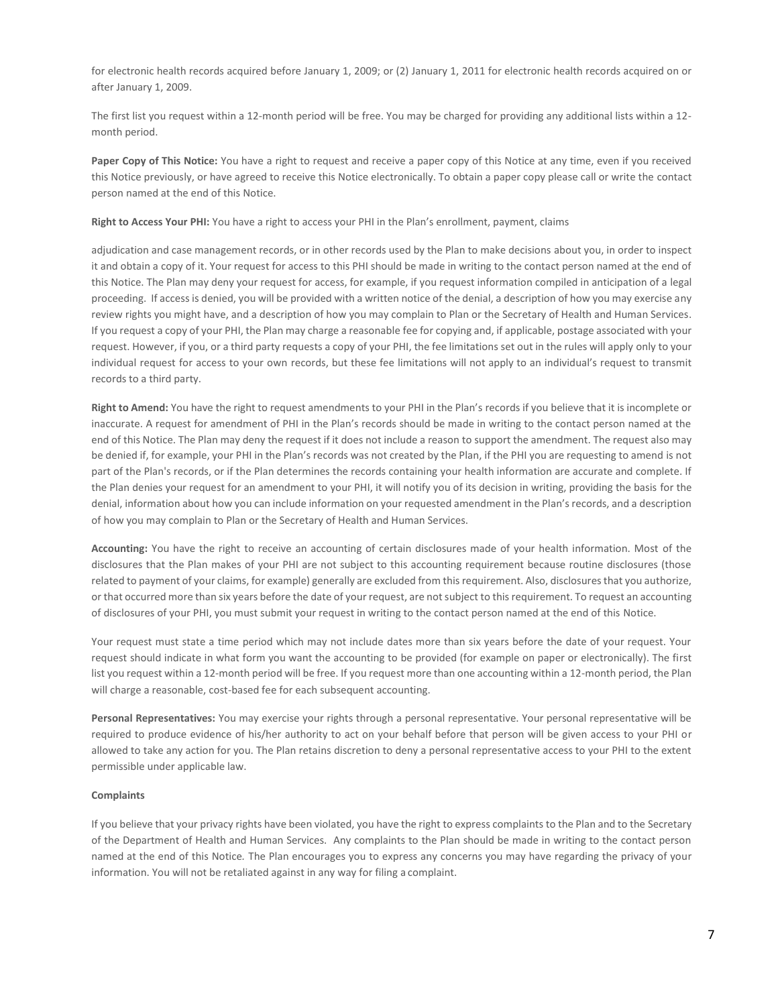for electronic health records acquired before January 1, 2009; or (2) January 1, 2011 for electronic health records acquired on or after January 1, 2009.

The first list you request within a 12-month period will be free. You may be charged for providing any additional lists within a 12 month period.

**Paper Copy of This Notice:** You have a right to request and receive a paper copy of this Notice at any time, even if you received this Notice previously, or have agreed to receive this Notice electronically. To obtain a paper copy please call or write the contact person named at the end of this Notice.

#### **Right to Access Your PHI:** You have a right to access your PHI in the Plan's enrollment, payment, claims

adjudication and case management records, or in other records used by the Plan to make decisions about you, in order to inspect it and obtain a copy of it. Your request for access to this PHI should be made in writing to the contact person named at the end of this Notice. The Plan may deny your request for access, for example, if you request information compiled in anticipation of a legal proceeding. If access is denied, you will be provided with a written notice of the denial, a description of how you may exercise any review rights you might have, and a description of how you may complain to Plan or the Secretary of Health and Human Services. If you request a copy of your PHI, the Plan may charge a reasonable fee for copying and, if applicable, postage associated with your request. However, if you, or a third party requests a copy of your PHI, the fee limitations set out in the rules will apply only to your individual request for access to your own records, but these fee limitations will not apply to an individual's request to transmit records to a third party.

**Right to Amend:** You have the right to request amendments to your PHI in the Plan's records if you believe that it is incomplete or inaccurate. A request for amendment of PHI in the Plan's records should be made in writing to the contact person named at the end of this Notice. The Plan may deny the request if it does not include a reason to support the amendment. The request also may be denied if, for example, your PHI in the Plan's records was not created by the Plan, if the PHI you are requesting to amend is not part of the Plan's records, or if the Plan determines the records containing your health information are accurate and complete. If the Plan denies your request for an amendment to your PHI, it will notify you of its decision in writing, providing the basis for the denial, information about how you can include information on your requested amendment in the Plan's records, and a description of how you may complain to Plan or the Secretary of Health and Human Services.

**Accounting:** You have the right to receive an accounting of certain disclosures made of your health information. Most of the disclosures that the Plan makes of your PHI are not subject to this accounting requirement because routine disclosures (those related to payment of your claims, for example) generally are excluded from this requirement. Also, disclosures that you authorize, or that occurred more than six years before the date of your request, are not subject to this requirement. To request an accounting of disclosures of your PHI, you must submit your request in writing to the contact person named at the end of this Notice.

Your request must state a time period which may not include dates more than six years before the date of your request. Your request should indicate in what form you want the accounting to be provided (for example on paper or electronically). The first list you request within a 12-month period will be free. If you request more than one accounting within a 12-month period, the Plan will charge a reasonable, cost-based fee for each subsequent accounting.

**Personal Representatives:** You may exercise your rights through a personal representative. Your personal representative will be required to produce evidence of his/her authority to act on your behalf before that person will be given access to your PHI or allowed to take any action for you. The Plan retains discretion to deny a personal representative access to your PHI to the extent permissible under applicable law.

#### **Complaints**

If you believe that your privacy rights have been violated, you have the right to express complaints to the Plan and to the Secretary of the Department of Health and Human Services. Any complaints to the Plan should be made in writing to the contact person named at the end of this Notice*.* The Plan encourages you to express any concerns you may have regarding the privacy of your information. You will not be retaliated against in any way for filing a complaint.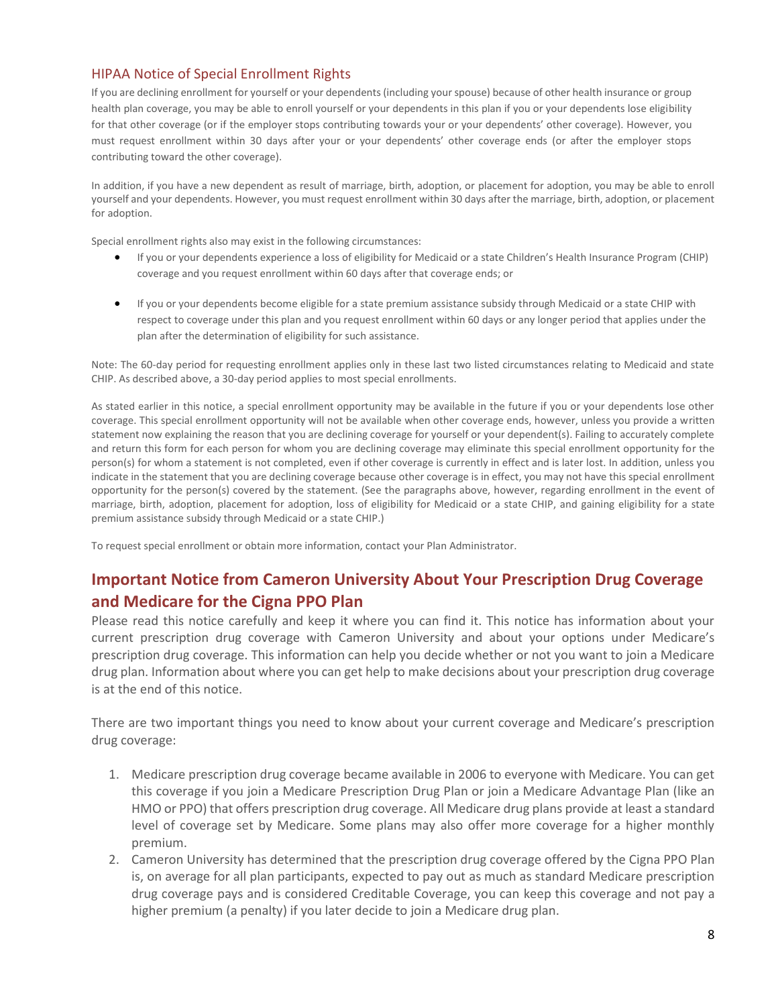# HIPAA Notice of Special Enrollment Rights

If you are declining enrollment for yourself or your dependents (including your spouse) because of other health insurance or group health plan coverage, you may be able to enroll yourself or your dependents in this plan if you or your dependents lose eligibility for that other coverage (or if the employer stops contributing towards your or your dependents' other coverage). However, you must request enrollment within 30 days after your or your dependents' other coverage ends (or after the employer stops contributing toward the other coverage).

In addition, if you have a new dependent as result of marriage, birth, adoption, or placement for adoption, you may be able to enroll yourself and your dependents. However, you must request enrollment within 30 days after the marriage, birth, adoption, or placement for adoption.

Special enrollment rights also may exist in the following circumstances:

- If you or your dependents experience a loss of eligibility for Medicaid or a state Children's Health Insurance Program (CHIP) coverage and you request enrollment within 60 days after that coverage ends; or
- If you or your dependents become eligible for a state premium assistance subsidy through Medicaid or a state CHIP with respect to coverage under this plan and you request enrollment within 60 days or any longer period that applies under the plan after the determination of eligibility for such assistance.

Note: The 60-day period for requesting enrollment applies only in these last two listed circumstances relating to Medicaid and state CHIP. As described above, a 30-day period applies to most special enrollments.

As stated earlier in this notice, a special enrollment opportunity may be available in the future if you or your dependents lose other coverage. This special enrollment opportunity will not be available when other coverage ends, however, unless you provide a written statement now explaining the reason that you are declining coverage for yourself or your dependent(s). Failing to accurately complete and return this form for each person for whom you are declining coverage may eliminate this special enrollment opportunity for the person(s) for whom a statement is not completed, even if other coverage is currently in effect and is later lost. In addition, unless you indicate in the statement that you are declining coverage because other coverage is in effect, you may not have this special enrollment opportunity for the person(s) covered by the statement. (See the paragraphs above, however, regarding enrollment in the event of marriage, birth, adoption, placement for adoption, loss of eligibility for Medicaid or a state CHIP, and gaining eligibility for a state premium assistance subsidy through Medicaid or a state CHIP.)

To request special enrollment or obtain more information, contact your Plan Administrator.

# **Important Notice from Cameron University About Your Prescription Drug Coverage and Medicare for the Cigna PPO Plan**

Please read this notice carefully and keep it where you can find it. This notice has information about your current prescription drug coverage with Cameron University and about your options under Medicare's prescription drug coverage. This information can help you decide whether or not you want to join a Medicare drug plan. Information about where you can get help to make decisions about your prescription drug coverage is at the end of this notice.

There are two important things you need to know about your current coverage and Medicare's prescription drug coverage:

- 1. Medicare prescription drug coverage became available in 2006 to everyone with Medicare. You can get this coverage if you join a Medicare Prescription Drug Plan or join a Medicare Advantage Plan (like an HMO or PPO) that offers prescription drug coverage. All Medicare drug plans provide at least a standard level of coverage set by Medicare. Some plans may also offer more coverage for a higher monthly premium.
- 2. Cameron University has determined that the prescription drug coverage offered by the Cigna PPO Plan is, on average for all plan participants, expected to pay out as much as standard Medicare prescription drug coverage pays and is considered Creditable Coverage, you can keep this coverage and not pay a higher premium (a penalty) if you later decide to join a Medicare drug plan.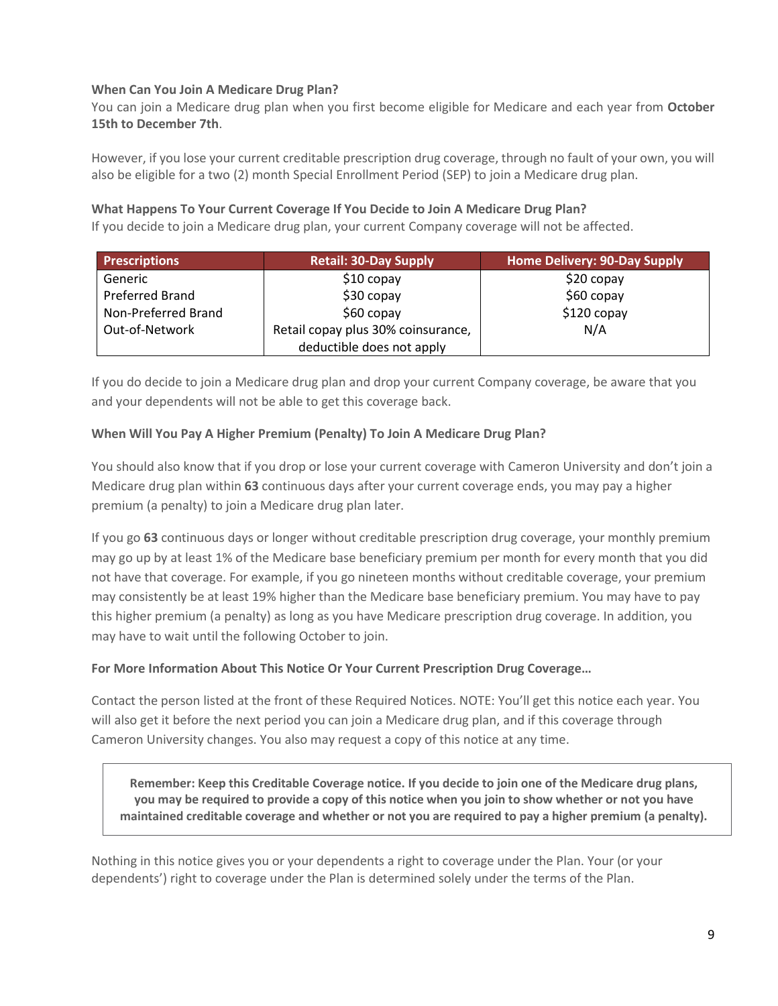# **When Can You Join A Medicare Drug Plan?**

You can join a Medicare drug plan when you first become eligible for Medicare and each year from **October 15th to December 7th**.

However, if you lose your current creditable prescription drug coverage, through no fault of your own, you will also be eligible for a two (2) month Special Enrollment Period (SEP) to join a Medicare drug plan.

# **What Happens To Your Current Coverage If You Decide to Join A Medicare Drug Plan?**

If you decide to join a Medicare drug plan, your current Company coverage will not be affected.

| <b>Prescriptions</b>   | <b>Retail: 30-Day Supply</b>       | Home Delivery: 90-Day Supply |
|------------------------|------------------------------------|------------------------------|
| Generic                | $$10$ copay                        | $$20$ copay                  |
| <b>Preferred Brand</b> | $$30$ copay                        | $$60$ copay                  |
| Non-Preferred Brand    | $$60$ copay                        | $$120$ copay                 |
| Out-of-Network         | Retail copay plus 30% coinsurance, | N/A                          |
|                        | deductible does not apply          |                              |

If you do decide to join a Medicare drug plan and drop your current Company coverage, be aware that you and your dependents will not be able to get this coverage back.

# **When Will You Pay A Higher Premium (Penalty) To Join A Medicare Drug Plan?**

You should also know that if you drop or lose your current coverage with Cameron University and don't join a Medicare drug plan within **63** continuous days after your current coverage ends, you may pay a higher premium (a penalty) to join a Medicare drug plan later.

If you go **63** continuous days or longer without creditable prescription drug coverage, your monthly premium may go up by at least 1% of the Medicare base beneficiary premium per month for every month that you did not have that coverage. For example, if you go nineteen months without creditable coverage, your premium may consistently be at least 19% higher than the Medicare base beneficiary premium. You may have to pay this higher premium (a penalty) as long as you have Medicare prescription drug coverage. In addition, you may have to wait until the following October to join.

# **For More Information About This Notice Or Your Current Prescription Drug Coverage…**

Contact the person listed at the front of these Required Notices. NOTE: You'll get this notice each year. You will also get it before the next period you can join a Medicare drug plan, and if this coverage through Cameron University changes. You also may request a copy of this notice at any time.

**Remember: Keep this Creditable Coverage notice. If you decide to join one of the Medicare drug plans, you may be required to provide a copy of this notice when you join to show whether or not you have maintained creditable coverage and whether or not you are required to pay a higher premium (a penalty).**

Nothing in this notice gives you or your dependents a right to coverage under the Plan. Your (or your dependents') right to coverage under the Plan is determined solely under the terms of the Plan.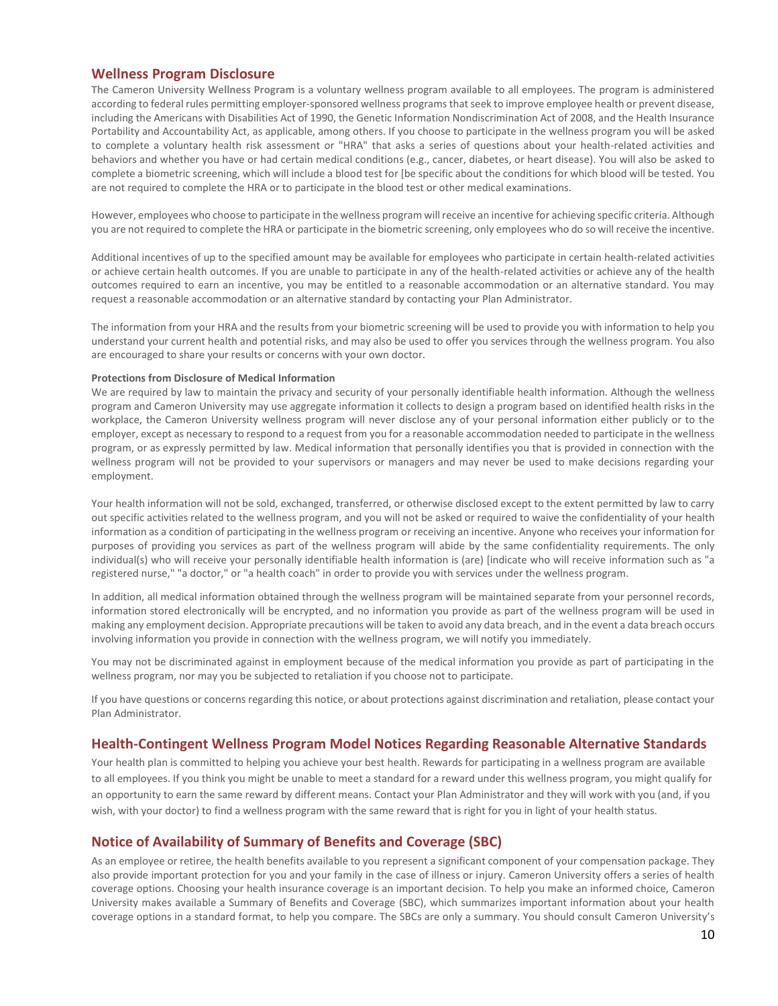### **Wellness Program Disclosure**

**The** Cameron University **Wellness Program** is a voluntary wellness program available to all employees. The program is administered according to federal rules permitting employer-sponsored wellness programs that seek to improve employee health or prevent disease, including the Americans with Disabilities Act of 1990, the Genetic Information Nondiscrimination Act of 2008, and the Health Insurance Portability and Accountability Act, as applicable, among others. If you choose to participate in the wellness program you will be asked to complete a voluntary health risk assessment or "HRA" that asks a series of questions about your health-related activities and behaviors and whether you have or had certain medical conditions (e.g., cancer, diabetes, or heart disease). You will also be asked to complete a biometric screening, which will include a blood test for [be specific about the conditions for which blood will be tested. You are not required to complete the HRA or to participate in the blood test or other medical examinations.

However, employees who choose to participate in the wellness program will receive an incentive for achieving specific criteria. Although you are not required to complete the HRA or participate in the biometric screening, only employees who do so will receive the incentive.

Additional incentives of up to the specified amount may be available for employees who participate in certain health-related activities or achieve certain health outcomes. If you are unable to participate in any of the health-related activities or achieve any of the health outcomes required to earn an incentive, you may be entitled to a reasonable accommodation or an alternative standard. You may request a reasonable accommodation or an alternative standard by contacting your Plan Administrator.

The information from your HRA and the results from your biometric screening will be used to provide you with information to help you understand your current health and potential risks, and may also be used to offer you services through the wellness program. You also are encouraged to share your results or concerns with your own doctor.

#### **Protections from Disclosure of Medical Information**

We are required by law to maintain the privacy and security of your personally identifiable health information. Although the wellness program and Cameron University may use aggregate information it collects to design a program based on identified health risks in the workplace, the Cameron University wellness program will never disclose any of your personal information either publicly or to the employer, except as necessary to respond to a request from you for a reasonable accommodation needed to participate in the wellness program, or as expressly permitted by law. Medical information that personally identifies you that is provided in connection with the wellness program will not be provided to your supervisors or managers and may never be used to make decisions regarding your employment.

Your health information will not be sold, exchanged, transferred, or otherwise disclosed except to the extent permitted by law to carry out specific activities related to the wellness program, and you will not be asked or required to waive the confidentiality of your health information as a condition of participating in the wellness program or receiving an incentive. Anyone who receives your information for purposes of providing you services as part of the wellness program will abide by the same confidentiality requirements. The only individual(s) who will receive your personally identifiable health information is (are) [indicate who will receive information such as "a registered nurse," "a doctor," or "a health coach" in order to provide you with services under the wellness program.

In addition, all medical information obtained through the wellness program will be maintained separate from your personnel records, information stored electronically will be encrypted, and no information you provide as part of the wellness program will be used in making any employment decision. Appropriate precautions will be taken to avoid any data breach, and in the event a data breach occurs involving information you provide in connection with the wellness program, we will notify you immediately.

You may not be discriminated against in employment because of the medical information you provide as part of participating in the wellness program, nor may you be subjected to retaliation if you choose not to participate.

If you have questions or concerns regarding this notice, or about protections against discrimination and retaliation, please contact your Plan Administrator.

### **Health-Contingent Wellness Program Model Notices Regarding Reasonable Alternative Standards**

Your health plan is committed to helping you achieve your best health. Rewards for participating in a wellness program are available to all employees. If you think you might be unable to meet a standard for a reward under this wellness program, you might qualify for an opportunity to earn the same reward by different means. Contact your Plan Administrator and they will work with you (and, if you wish, with your doctor) to find a wellness program with the same reward that is right for you in light of your health status.

### **Notice of Availability of Summary of Benefits and Coverage (SBC)**

As an employee or retiree, the health benefits available to you represent a significant component of your compensation package. They also provide important protection for you and your family in the case of illness or injury. Cameron University offers a series of health coverage options. Choosing your health insurance coverage is an important decision. To help you make an informed choice, Cameron University makes available a Summary of Benefits and Coverage (SBC), which summarizes important information about your health coverage options in a standard format, to help you compare. The SBCs are only a summary. You should consult Cameron University's